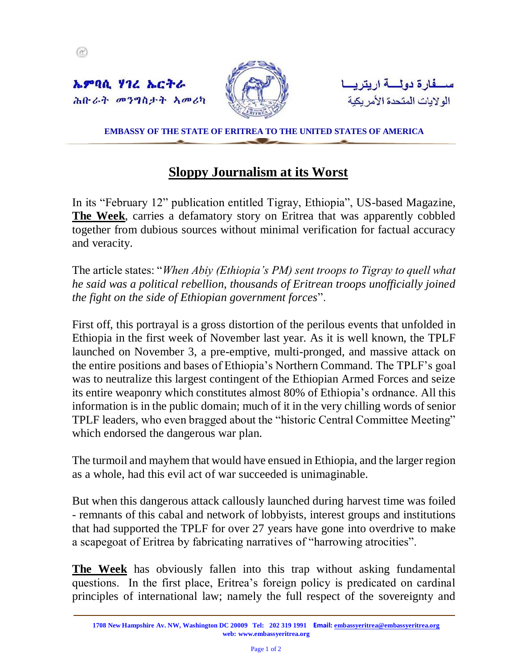

**EMBASSY OF THE STATE OF ERITREA TO THE UNITED STATES OF AMERICA**

## **Sloppy Journalism at its Worst**

In its "February 12" publication entitled Tigray, Ethiopia", US-based Magazine, **The Week**, carries a defamatory story on Eritrea that was apparently cobbled together from dubious sources without minimal verification for factual accuracy and veracity.

The article states: "*When Abiy (Ethiopia's PM) sent troops to Tigray to quell what he said was a political rebellion, thousands of Eritrean troops unofficially joined the fight on the side of Ethiopian government forces*".

First off, this portrayal is a gross distortion of the perilous events that unfolded in Ethiopia in the first week of November last year. As it is well known, the TPLF launched on November 3, a pre-emptive, multi-pronged, and massive attack on the entire positions and bases of Ethiopia's Northern Command. The TPLF's goal was to neutralize this largest contingent of the Ethiopian Armed Forces and seize its entire weaponry which constitutes almost 80% of Ethiopia's ordnance. All this information is in the public domain; much of it in the very chilling words of senior TPLF leaders, who even bragged about the "historic Central Committee Meeting" which endorsed the dangerous war plan.

The turmoil and mayhem that would have ensued in Ethiopia, and the larger region as a whole, had this evil act of war succeeded is unimaginable.

But when this dangerous attack callously launched during harvest time was foiled - remnants of this cabal and network of lobbyists, interest groups and institutions that had supported the TPLF for over 27 years have gone into overdrive to make a scapegoat of Eritrea by fabricating narratives of "harrowing atrocities".

**The Week** has obviously fallen into this trap without asking fundamental questions. In the first place, Eritrea's foreign policy is predicated on cardinal principles of international law; namely the full respect of the sovereignty and